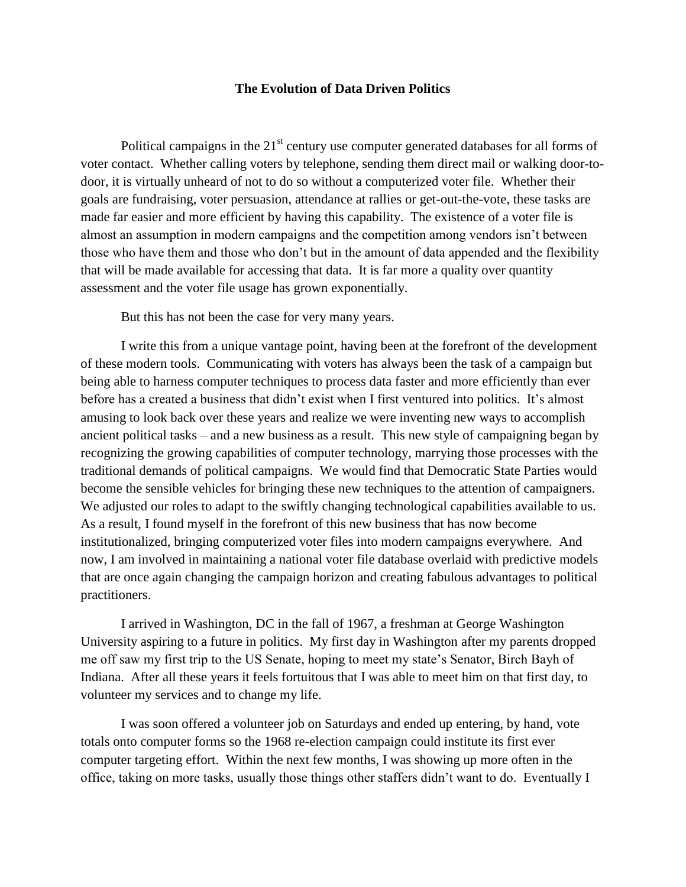## **The Evolution of Data Driven Politics**

Political campaigns in the  $21<sup>st</sup>$  century use computer generated databases for all forms of voter contact. Whether calling voters by telephone, sending them direct mail or walking door-todoor, it is virtually unheard of not to do so without a computerized voter file. Whether their goals are fundraising, voter persuasion, attendance at rallies or get-out-the-vote, these tasks are made far easier and more efficient by having this capability. The existence of a voter file is almost an assumption in modern campaigns and the competition among vendors isn't between those who have them and those who don't but in the amount of data appended and the flexibility that will be made available for accessing that data. It is far more a quality over quantity assessment and the voter file usage has grown exponentially.

But this has not been the case for very many years.

I write this from a unique vantage point, having been at the forefront of the development of these modern tools. Communicating with voters has always been the task of a campaign but being able to harness computer techniques to process data faster and more efficiently than ever before has a created a business that didn't exist when I first ventured into politics. It's almost amusing to look back over these years and realize we were inventing new ways to accomplish ancient political tasks – and a new business as a result. This new style of campaigning began by recognizing the growing capabilities of computer technology, marrying those processes with the traditional demands of political campaigns. We would find that Democratic State Parties would become the sensible vehicles for bringing these new techniques to the attention of campaigners. We adjusted our roles to adapt to the swiftly changing technological capabilities available to us. As a result, I found myself in the forefront of this new business that has now become institutionalized, bringing computerized voter files into modern campaigns everywhere. And now, I am involved in maintaining a national voter file database overlaid with predictive models that are once again changing the campaign horizon and creating fabulous advantages to political practitioners.

I arrived in Washington, DC in the fall of 1967, a freshman at George Washington University aspiring to a future in politics. My first day in Washington after my parents dropped me off saw my first trip to the US Senate, hoping to meet my state's Senator, Birch Bayh of Indiana. After all these years it feels fortuitous that I was able to meet him on that first day, to volunteer my services and to change my life.

I was soon offered a volunteer job on Saturdays and ended up entering, by hand, vote totals onto computer forms so the 1968 re-election campaign could institute its first ever computer targeting effort. Within the next few months, I was showing up more often in the office, taking on more tasks, usually those things other staffers didn't want to do. Eventually I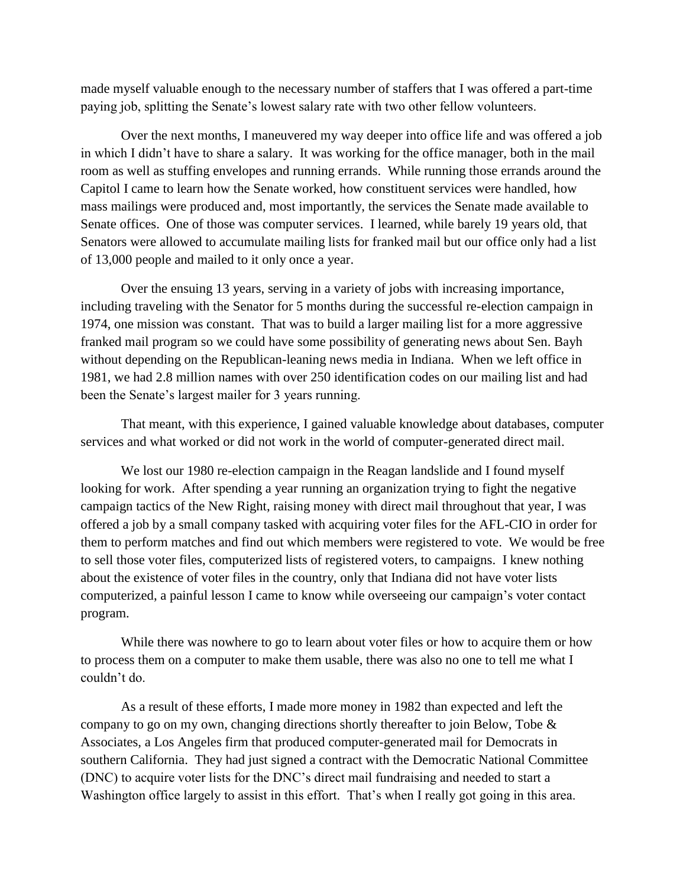made myself valuable enough to the necessary number of staffers that I was offered a part-time paying job, splitting the Senate's lowest salary rate with two other fellow volunteers.

Over the next months, I maneuvered my way deeper into office life and was offered a job in which I didn't have to share a salary. It was working for the office manager, both in the mail room as well as stuffing envelopes and running errands. While running those errands around the Capitol I came to learn how the Senate worked, how constituent services were handled, how mass mailings were produced and, most importantly, the services the Senate made available to Senate offices. One of those was computer services. I learned, while barely 19 years old, that Senators were allowed to accumulate mailing lists for franked mail but our office only had a list of 13,000 people and mailed to it only once a year.

Over the ensuing 13 years, serving in a variety of jobs with increasing importance, including traveling with the Senator for 5 months during the successful re-election campaign in 1974, one mission was constant. That was to build a larger mailing list for a more aggressive franked mail program so we could have some possibility of generating news about Sen. Bayh without depending on the Republican-leaning news media in Indiana. When we left office in 1981, we had 2.8 million names with over 250 identification codes on our mailing list and had been the Senate's largest mailer for 3 years running.

That meant, with this experience, I gained valuable knowledge about databases, computer services and what worked or did not work in the world of computer-generated direct mail.

We lost our 1980 re-election campaign in the Reagan landslide and I found myself looking for work. After spending a year running an organization trying to fight the negative campaign tactics of the New Right, raising money with direct mail throughout that year, I was offered a job by a small company tasked with acquiring voter files for the AFL-CIO in order for them to perform matches and find out which members were registered to vote. We would be free to sell those voter files, computerized lists of registered voters, to campaigns. I knew nothing about the existence of voter files in the country, only that Indiana did not have voter lists computerized, a painful lesson I came to know while overseeing our campaign's voter contact program.

While there was nowhere to go to learn about voter files or how to acquire them or how to process them on a computer to make them usable, there was also no one to tell me what I couldn't do.

As a result of these efforts, I made more money in 1982 than expected and left the company to go on my own, changing directions shortly thereafter to join Below, Tobe & Associates, a Los Angeles firm that produced computer-generated mail for Democrats in southern California. They had just signed a contract with the Democratic National Committee (DNC) to acquire voter lists for the DNC's direct mail fundraising and needed to start a Washington office largely to assist in this effort. That's when I really got going in this area.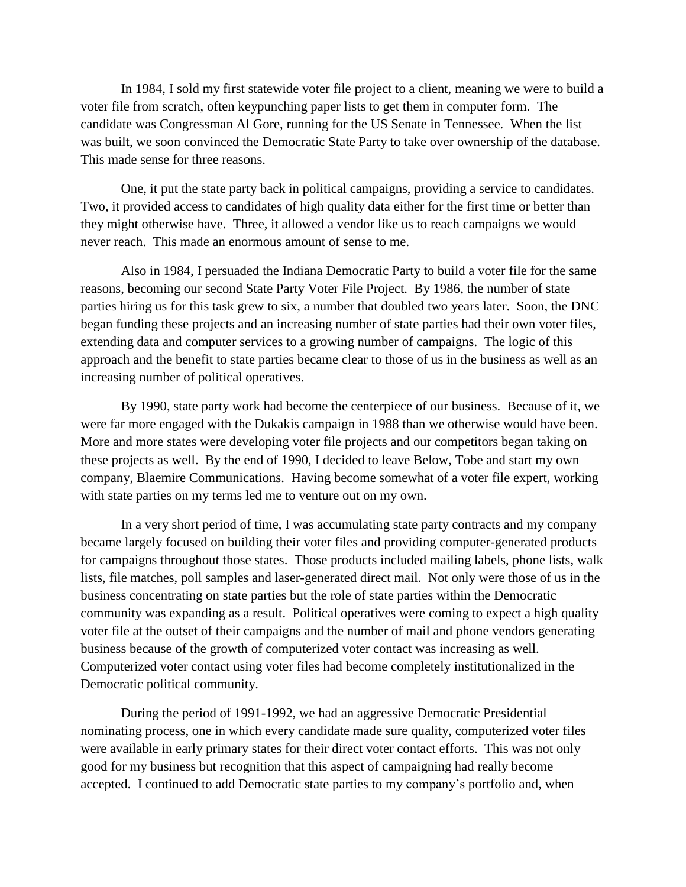In 1984, I sold my first statewide voter file project to a client, meaning we were to build a voter file from scratch, often keypunching paper lists to get them in computer form. The candidate was Congressman Al Gore, running for the US Senate in Tennessee. When the list was built, we soon convinced the Democratic State Party to take over ownership of the database. This made sense for three reasons.

One, it put the state party back in political campaigns, providing a service to candidates. Two, it provided access to candidates of high quality data either for the first time or better than they might otherwise have. Three, it allowed a vendor like us to reach campaigns we would never reach. This made an enormous amount of sense to me.

Also in 1984, I persuaded the Indiana Democratic Party to build a voter file for the same reasons, becoming our second State Party Voter File Project. By 1986, the number of state parties hiring us for this task grew to six, a number that doubled two years later. Soon, the DNC began funding these projects and an increasing number of state parties had their own voter files, extending data and computer services to a growing number of campaigns. The logic of this approach and the benefit to state parties became clear to those of us in the business as well as an increasing number of political operatives.

By 1990, state party work had become the centerpiece of our business. Because of it, we were far more engaged with the Dukakis campaign in 1988 than we otherwise would have been. More and more states were developing voter file projects and our competitors began taking on these projects as well. By the end of 1990, I decided to leave Below, Tobe and start my own company, Blaemire Communications. Having become somewhat of a voter file expert, working with state parties on my terms led me to venture out on my own.

In a very short period of time, I was accumulating state party contracts and my company became largely focused on building their voter files and providing computer-generated products for campaigns throughout those states. Those products included mailing labels, phone lists, walk lists, file matches, poll samples and laser-generated direct mail. Not only were those of us in the business concentrating on state parties but the role of state parties within the Democratic community was expanding as a result. Political operatives were coming to expect a high quality voter file at the outset of their campaigns and the number of mail and phone vendors generating business because of the growth of computerized voter contact was increasing as well. Computerized voter contact using voter files had become completely institutionalized in the Democratic political community.

During the period of 1991-1992, we had an aggressive Democratic Presidential nominating process, one in which every candidate made sure quality, computerized voter files were available in early primary states for their direct voter contact efforts. This was not only good for my business but recognition that this aspect of campaigning had really become accepted. I continued to add Democratic state parties to my company's portfolio and, when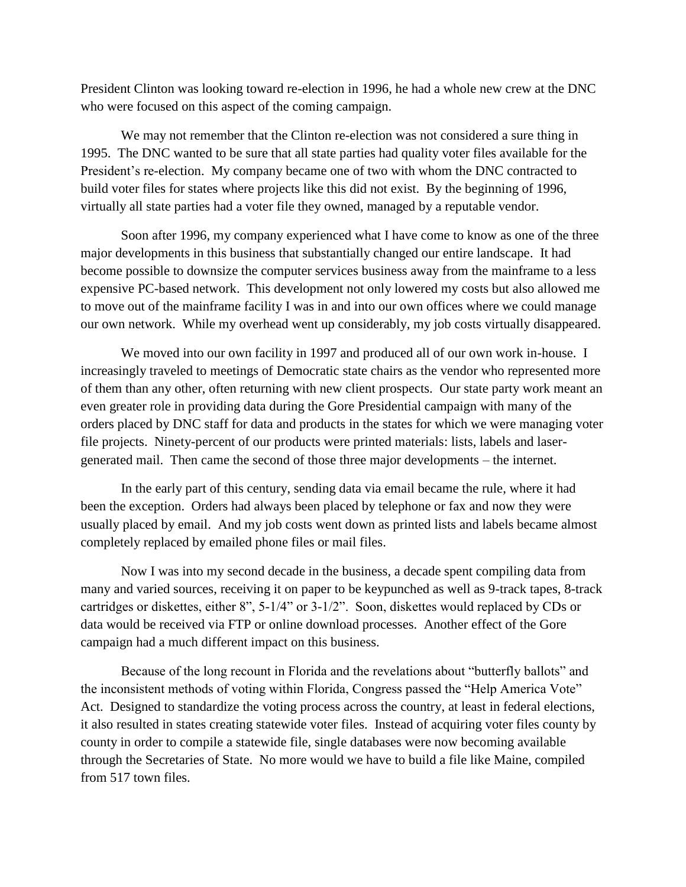President Clinton was looking toward re-election in 1996, he had a whole new crew at the DNC who were focused on this aspect of the coming campaign.

We may not remember that the Clinton re-election was not considered a sure thing in 1995. The DNC wanted to be sure that all state parties had quality voter files available for the President's re-election. My company became one of two with whom the DNC contracted to build voter files for states where projects like this did not exist. By the beginning of 1996, virtually all state parties had a voter file they owned, managed by a reputable vendor.

Soon after 1996, my company experienced what I have come to know as one of the three major developments in this business that substantially changed our entire landscape. It had become possible to downsize the computer services business away from the mainframe to a less expensive PC-based network. This development not only lowered my costs but also allowed me to move out of the mainframe facility I was in and into our own offices where we could manage our own network. While my overhead went up considerably, my job costs virtually disappeared.

We moved into our own facility in 1997 and produced all of our own work in-house. I increasingly traveled to meetings of Democratic state chairs as the vendor who represented more of them than any other, often returning with new client prospects. Our state party work meant an even greater role in providing data during the Gore Presidential campaign with many of the orders placed by DNC staff for data and products in the states for which we were managing voter file projects. Ninety-percent of our products were printed materials: lists, labels and lasergenerated mail. Then came the second of those three major developments – the internet.

In the early part of this century, sending data via email became the rule, where it had been the exception. Orders had always been placed by telephone or fax and now they were usually placed by email. And my job costs went down as printed lists and labels became almost completely replaced by emailed phone files or mail files.

Now I was into my second decade in the business, a decade spent compiling data from many and varied sources, receiving it on paper to be keypunched as well as 9-track tapes, 8-track cartridges or diskettes, either 8", 5-1/4" or 3-1/2". Soon, diskettes would replaced by CDs or data would be received via FTP or online download processes. Another effect of the Gore campaign had a much different impact on this business.

Because of the long recount in Florida and the revelations about "butterfly ballots" and the inconsistent methods of voting within Florida, Congress passed the "Help America Vote" Act. Designed to standardize the voting process across the country, at least in federal elections, it also resulted in states creating statewide voter files. Instead of acquiring voter files county by county in order to compile a statewide file, single databases were now becoming available through the Secretaries of State. No more would we have to build a file like Maine, compiled from 517 town files.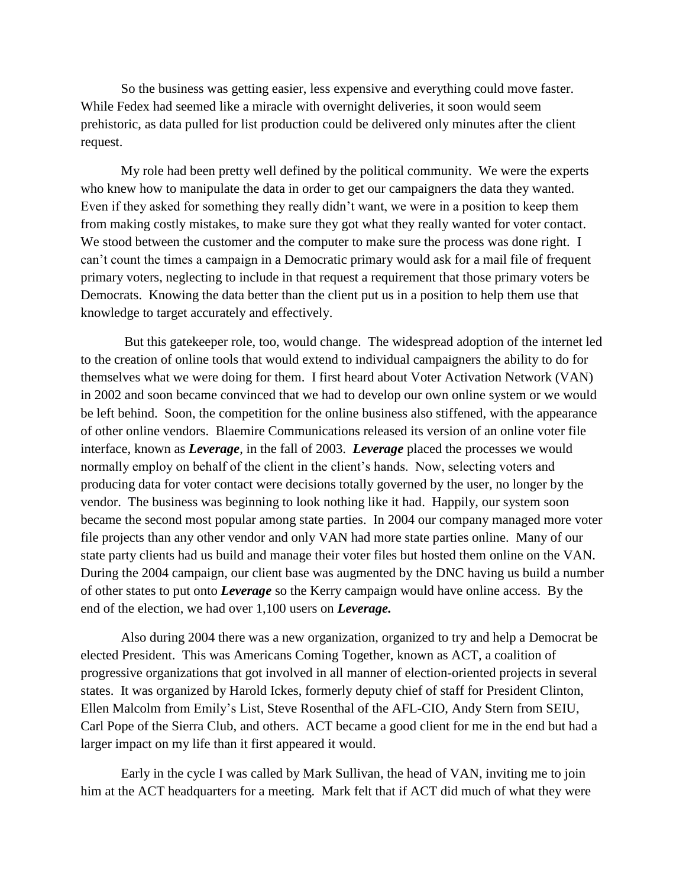So the business was getting easier, less expensive and everything could move faster. While Fedex had seemed like a miracle with overnight deliveries, it soon would seem prehistoric, as data pulled for list production could be delivered only minutes after the client request.

My role had been pretty well defined by the political community. We were the experts who knew how to manipulate the data in order to get our campaigners the data they wanted. Even if they asked for something they really didn't want, we were in a position to keep them from making costly mistakes, to make sure they got what they really wanted for voter contact. We stood between the customer and the computer to make sure the process was done right. I can't count the times a campaign in a Democratic primary would ask for a mail file of frequent primary voters, neglecting to include in that request a requirement that those primary voters be Democrats. Knowing the data better than the client put us in a position to help them use that knowledge to target accurately and effectively.

But this gatekeeper role, too, would change. The widespread adoption of the internet led to the creation of online tools that would extend to individual campaigners the ability to do for themselves what we were doing for them. I first heard about Voter Activation Network (VAN) in 2002 and soon became convinced that we had to develop our own online system or we would be left behind. Soon, the competition for the online business also stiffened, with the appearance of other online vendors. Blaemire Communications released its version of an online voter file interface, known as *Leverage*, in the fall of 2003. *Leverage* placed the processes we would normally employ on behalf of the client in the client's hands. Now, selecting voters and producing data for voter contact were decisions totally governed by the user, no longer by the vendor. The business was beginning to look nothing like it had. Happily, our system soon became the second most popular among state parties. In 2004 our company managed more voter file projects than any other vendor and only VAN had more state parties online. Many of our state party clients had us build and manage their voter files but hosted them online on the VAN. During the 2004 campaign, our client base was augmented by the DNC having us build a number of other states to put onto *Leverage* so the Kerry campaign would have online access. By the end of the election, we had over 1,100 users on *Leverage.*

Also during 2004 there was a new organization, organized to try and help a Democrat be elected President. This was Americans Coming Together, known as ACT, a coalition of progressive organizations that got involved in all manner of election-oriented projects in several states. It was organized by Harold Ickes, formerly deputy chief of staff for President Clinton, Ellen Malcolm from Emily's List, Steve Rosenthal of the AFL-CIO, Andy Stern from SEIU, Carl Pope of the Sierra Club, and others. ACT became a good client for me in the end but had a larger impact on my life than it first appeared it would.

Early in the cycle I was called by Mark Sullivan, the head of VAN, inviting me to join him at the ACT headquarters for a meeting. Mark felt that if ACT did much of what they were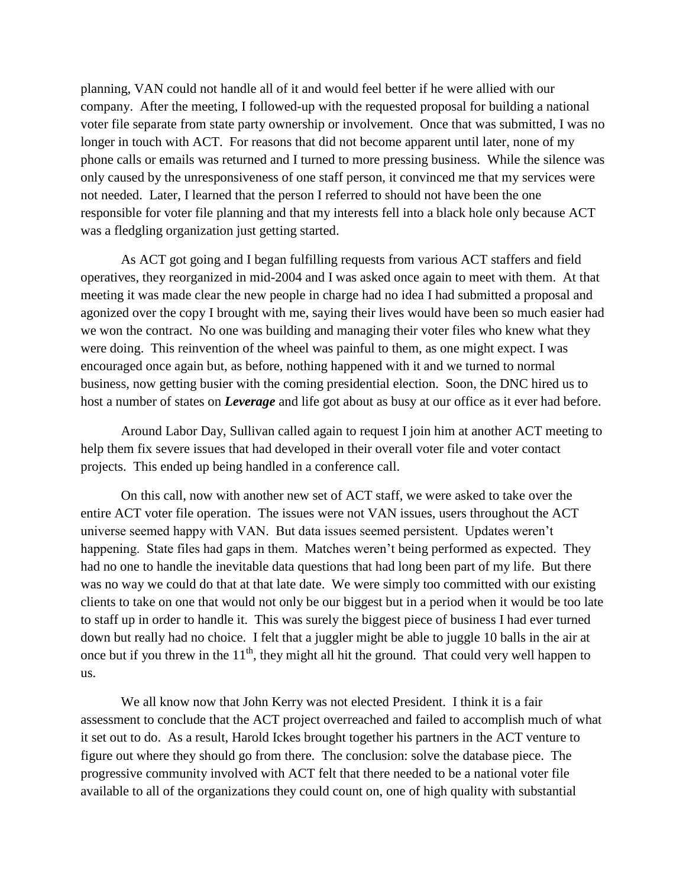planning, VAN could not handle all of it and would feel better if he were allied with our company. After the meeting, I followed-up with the requested proposal for building a national voter file separate from state party ownership or involvement. Once that was submitted, I was no longer in touch with ACT. For reasons that did not become apparent until later, none of my phone calls or emails was returned and I turned to more pressing business. While the silence was only caused by the unresponsiveness of one staff person, it convinced me that my services were not needed. Later, I learned that the person I referred to should not have been the one responsible for voter file planning and that my interests fell into a black hole only because ACT was a fledgling organization just getting started.

As ACT got going and I began fulfilling requests from various ACT staffers and field operatives, they reorganized in mid-2004 and I was asked once again to meet with them. At that meeting it was made clear the new people in charge had no idea I had submitted a proposal and agonized over the copy I brought with me, saying their lives would have been so much easier had we won the contract. No one was building and managing their voter files who knew what they were doing. This reinvention of the wheel was painful to them, as one might expect. I was encouraged once again but, as before, nothing happened with it and we turned to normal business, now getting busier with the coming presidential election. Soon, the DNC hired us to host a number of states on *Leverage* and life got about as busy at our office as it ever had before.

Around Labor Day, Sullivan called again to request I join him at another ACT meeting to help them fix severe issues that had developed in their overall voter file and voter contact projects. This ended up being handled in a conference call.

On this call, now with another new set of ACT staff, we were asked to take over the entire ACT voter file operation. The issues were not VAN issues, users throughout the ACT universe seemed happy with VAN. But data issues seemed persistent. Updates weren't happening. State files had gaps in them. Matches weren't being performed as expected. They had no one to handle the inevitable data questions that had long been part of my life. But there was no way we could do that at that late date. We were simply too committed with our existing clients to take on one that would not only be our biggest but in a period when it would be too late to staff up in order to handle it. This was surely the biggest piece of business I had ever turned down but really had no choice. I felt that a juggler might be able to juggle 10 balls in the air at once but if you threw in the  $11<sup>th</sup>$ , they might all hit the ground. That could very well happen to us.

We all know now that John Kerry was not elected President. I think it is a fair assessment to conclude that the ACT project overreached and failed to accomplish much of what it set out to do. As a result, Harold Ickes brought together his partners in the ACT venture to figure out where they should go from there. The conclusion: solve the database piece. The progressive community involved with ACT felt that there needed to be a national voter file available to all of the organizations they could count on, one of high quality with substantial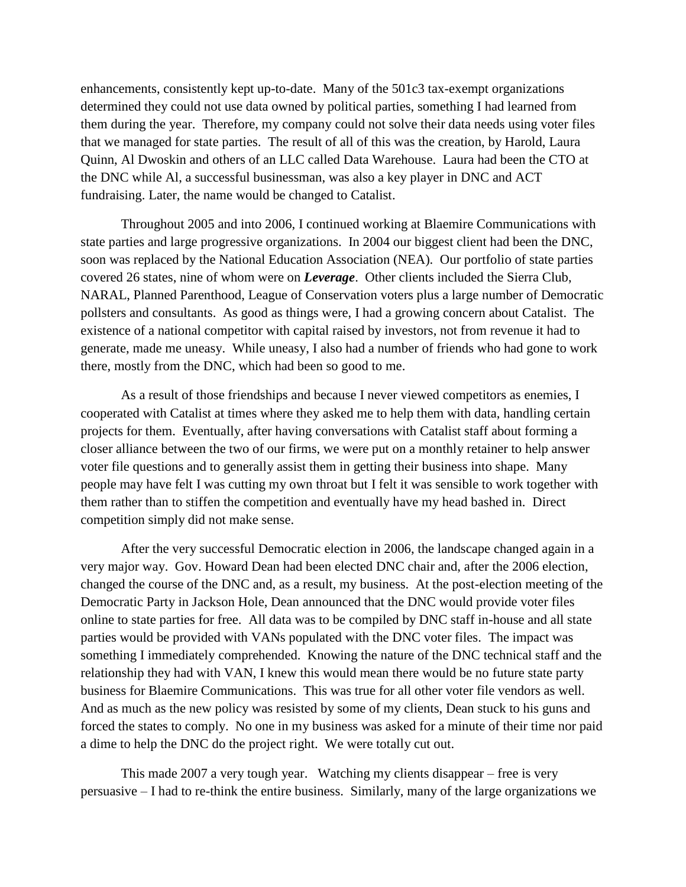enhancements, consistently kept up-to-date. Many of the 501c3 tax-exempt organizations determined they could not use data owned by political parties, something I had learned from them during the year. Therefore, my company could not solve their data needs using voter files that we managed for state parties. The result of all of this was the creation, by Harold, Laura Quinn, Al Dwoskin and others of an LLC called Data Warehouse. Laura had been the CTO at the DNC while Al, a successful businessman, was also a key player in DNC and ACT fundraising. Later, the name would be changed to Catalist.

Throughout 2005 and into 2006, I continued working at Blaemire Communications with state parties and large progressive organizations. In 2004 our biggest client had been the DNC, soon was replaced by the National Education Association (NEA). Our portfolio of state parties covered 26 states, nine of whom were on *Leverage*. Other clients included the Sierra Club, NARAL, Planned Parenthood, League of Conservation voters plus a large number of Democratic pollsters and consultants. As good as things were, I had a growing concern about Catalist. The existence of a national competitor with capital raised by investors, not from revenue it had to generate, made me uneasy. While uneasy, I also had a number of friends who had gone to work there, mostly from the DNC, which had been so good to me.

As a result of those friendships and because I never viewed competitors as enemies, I cooperated with Catalist at times where they asked me to help them with data, handling certain projects for them. Eventually, after having conversations with Catalist staff about forming a closer alliance between the two of our firms, we were put on a monthly retainer to help answer voter file questions and to generally assist them in getting their business into shape. Many people may have felt I was cutting my own throat but I felt it was sensible to work together with them rather than to stiffen the competition and eventually have my head bashed in. Direct competition simply did not make sense.

After the very successful Democratic election in 2006, the landscape changed again in a very major way. Gov. Howard Dean had been elected DNC chair and, after the 2006 election, changed the course of the DNC and, as a result, my business. At the post-election meeting of the Democratic Party in Jackson Hole, Dean announced that the DNC would provide voter files online to state parties for free. All data was to be compiled by DNC staff in-house and all state parties would be provided with VANs populated with the DNC voter files. The impact was something I immediately comprehended. Knowing the nature of the DNC technical staff and the relationship they had with VAN, I knew this would mean there would be no future state party business for Blaemire Communications. This was true for all other voter file vendors as well. And as much as the new policy was resisted by some of my clients, Dean stuck to his guns and forced the states to comply. No one in my business was asked for a minute of their time nor paid a dime to help the DNC do the project right. We were totally cut out.

This made 2007 a very tough year. Watching my clients disappear – free is very persuasive – I had to re-think the entire business. Similarly, many of the large organizations we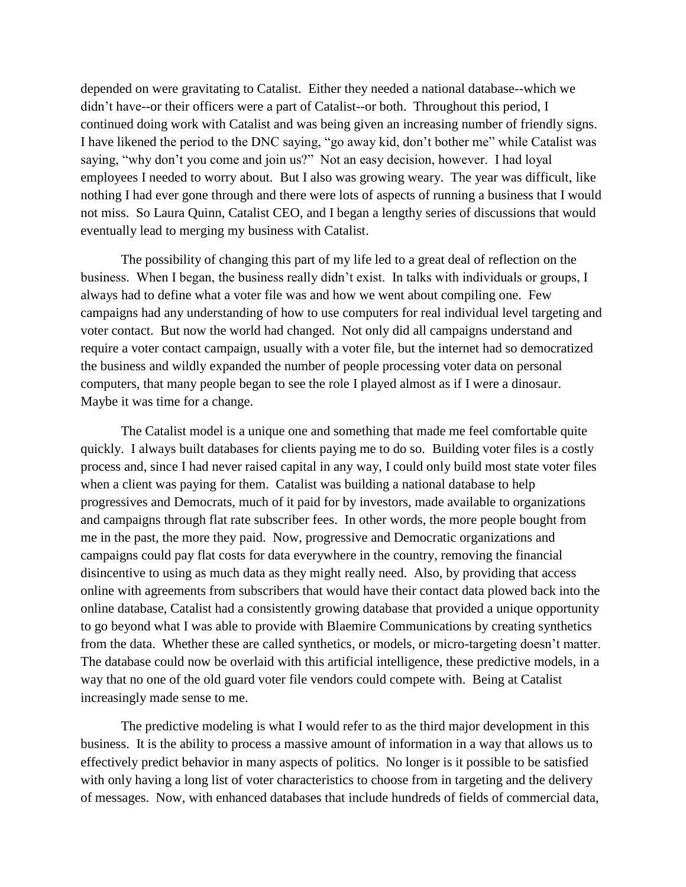depended on were gravitating to Catalist. Either they needed a national database--which we didn't have--or their officers were a part of Catalist--or both. Throughout this period, I continued doing work with Catalist and was being given an increasing number of friendly signs. I have likened the period to the DNC saying, "go away kid, don't bother me" while Catalist was saying, "why don't you come and join us?" Not an easy decision, however. I had loyal employees I needed to worry about. But I also was growing weary. The year was difficult, like nothing I had ever gone through and there were lots of aspects of running a business that I would not miss. So Laura Quinn, Catalist CEO, and I began a lengthy series of discussions that would eventually lead to merging my business with Catalist.

The possibility of changing this part of my life led to a great deal of reflection on the business. When I began, the business really didn't exist. In talks with individuals or groups, I always had to define what a voter file was and how we went about compiling one. Few campaigns had any understanding of how to use computers for real individual level targeting and voter contact. But now the world had changed. Not only did all campaigns understand and require a voter contact campaign, usually with a voter file, but the internet had so democratized the business and wildly expanded the number of people processing voter data on personal computers, that many people began to see the role I played almost as if I were a dinosaur. Maybe it was time for a change.

The Catalist model is a unique one and something that made me feel comfortable quite quickly. I always built databases for clients paying me to do so. Building voter files is a costly process and, since I had never raised capital in any way, I could only build most state voter files when a client was paying for them. Catalist was building a national database to help progressives and Democrats, much of it paid for by investors, made available to organizations and campaigns through flat rate subscriber fees. In other words, the more people bought from me in the past, the more they paid. Now, progressive and Democratic organizations and campaigns could pay flat costs for data everywhere in the country, removing the financial disincentive to using as much data as they might really need. Also, by providing that access online with agreements from subscribers that would have their contact data plowed back into the online database, Catalist had a consistently growing database that provided a unique opportunity to go beyond what I was able to provide with Blaemire Communications by creating synthetics from the data. Whether these are called synthetics, or models, or micro-targeting doesn't matter. The database could now be overlaid with this artificial intelligence, these predictive models, in a way that no one of the old guard voter file vendors could compete with. Being at Catalist increasingly made sense to me.

The predictive modeling is what I would refer to as the third major development in this business. It is the ability to process a massive amount of information in a way that allows us to effectively predict behavior in many aspects of politics. No longer is it possible to be satisfied with only having a long list of voter characteristics to choose from in targeting and the delivery of messages. Now, with enhanced databases that include hundreds of fields of commercial data,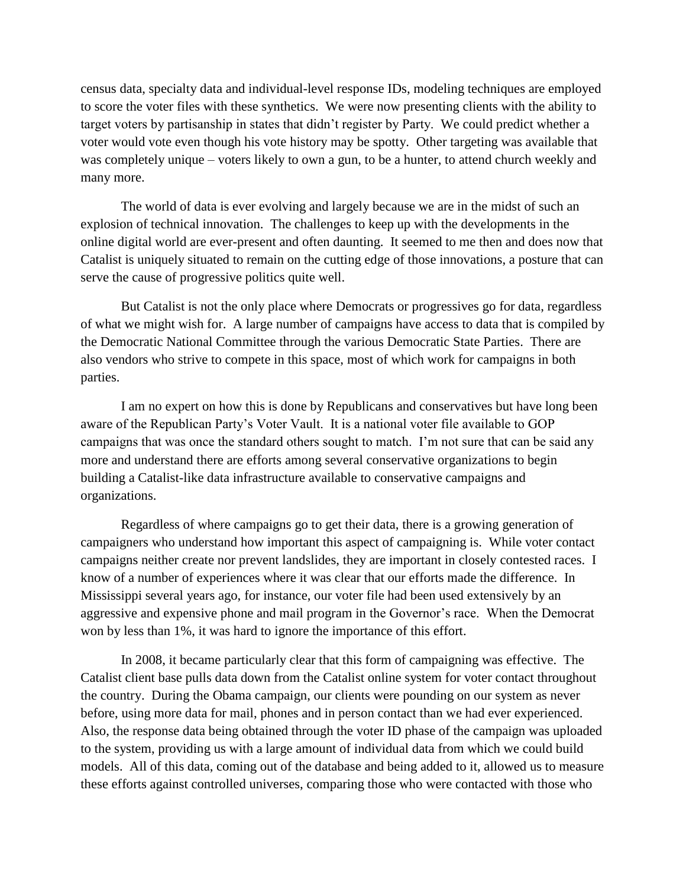census data, specialty data and individual-level response IDs, modeling techniques are employed to score the voter files with these synthetics. We were now presenting clients with the ability to target voters by partisanship in states that didn't register by Party. We could predict whether a voter would vote even though his vote history may be spotty. Other targeting was available that was completely unique – voters likely to own a gun, to be a hunter, to attend church weekly and many more.

The world of data is ever evolving and largely because we are in the midst of such an explosion of technical innovation. The challenges to keep up with the developments in the online digital world are ever-present and often daunting. It seemed to me then and does now that Catalist is uniquely situated to remain on the cutting edge of those innovations, a posture that can serve the cause of progressive politics quite well.

But Catalist is not the only place where Democrats or progressives go for data, regardless of what we might wish for. A large number of campaigns have access to data that is compiled by the Democratic National Committee through the various Democratic State Parties. There are also vendors who strive to compete in this space, most of which work for campaigns in both parties.

I am no expert on how this is done by Republicans and conservatives but have long been aware of the Republican Party's Voter Vault. It is a national voter file available to GOP campaigns that was once the standard others sought to match. I'm not sure that can be said any more and understand there are efforts among several conservative organizations to begin building a Catalist-like data infrastructure available to conservative campaigns and organizations.

Regardless of where campaigns go to get their data, there is a growing generation of campaigners who understand how important this aspect of campaigning is. While voter contact campaigns neither create nor prevent landslides, they are important in closely contested races. I know of a number of experiences where it was clear that our efforts made the difference. In Mississippi several years ago, for instance, our voter file had been used extensively by an aggressive and expensive phone and mail program in the Governor's race. When the Democrat won by less than 1%, it was hard to ignore the importance of this effort.

In 2008, it became particularly clear that this form of campaigning was effective. The Catalist client base pulls data down from the Catalist online system for voter contact throughout the country. During the Obama campaign, our clients were pounding on our system as never before, using more data for mail, phones and in person contact than we had ever experienced. Also, the response data being obtained through the voter ID phase of the campaign was uploaded to the system, providing us with a large amount of individual data from which we could build models. All of this data, coming out of the database and being added to it, allowed us to measure these efforts against controlled universes, comparing those who were contacted with those who